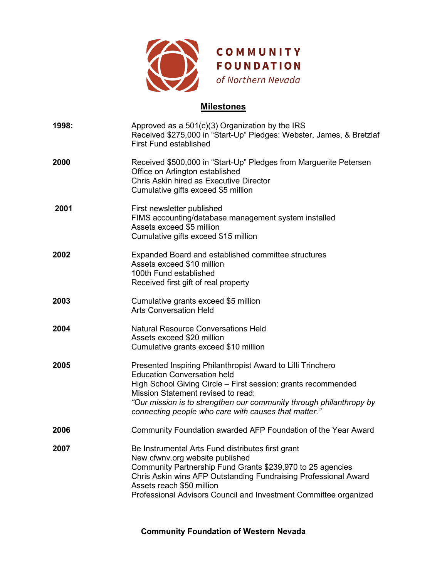

# **Milestones**

| 1998: | Approved as a 501(c)(3) Organization by the IRS<br>Received \$275,000 in "Start-Up" Pledges: Webster, James, & Bretzlaf<br><b>First Fund established</b>                                                                                                                                                                                |
|-------|-----------------------------------------------------------------------------------------------------------------------------------------------------------------------------------------------------------------------------------------------------------------------------------------------------------------------------------------|
| 2000  | Received \$500,000 in "Start-Up" Pledges from Marguerite Petersen<br>Office on Arlington established<br>Chris Askin hired as Executive Director<br>Cumulative gifts exceed \$5 million                                                                                                                                                  |
| 2001  | First newsletter published<br>FIMS accounting/database management system installed<br>Assets exceed \$5 million<br>Cumulative gifts exceed \$15 million                                                                                                                                                                                 |
| 2002  | Expanded Board and established committee structures<br>Assets exceed \$10 million<br>100th Fund established<br>Received first gift of real property                                                                                                                                                                                     |
| 2003  | Cumulative grants exceed \$5 million<br><b>Arts Conversation Held</b>                                                                                                                                                                                                                                                                   |
| 2004  | <b>Natural Resource Conversations Held</b><br>Assets exceed \$20 million<br>Cumulative grants exceed \$10 million                                                                                                                                                                                                                       |
| 2005  | Presented Inspiring Philanthropist Award to Lilli Trinchero<br><b>Education Conversation held</b><br>High School Giving Circle - First session: grants recommended<br>Mission Statement revised to read:<br>"Our mission is to strengthen our community through philanthropy by<br>connecting people who care with causes that matter." |
| 2006  | Community Foundation awarded AFP Foundation of the Year Award                                                                                                                                                                                                                                                                           |
| 2007  | Be Instrumental Arts Fund distributes first grant<br>New cfwnv.org website published<br>Community Partnership Fund Grants \$239,970 to 25 agencies<br>Chris Askin wins AFP Outstanding Fundraising Professional Award<br>Assets reach \$50 million<br>Professional Advisors Council and Investment Committee organized                  |

**Community Foundation of Western Nevada**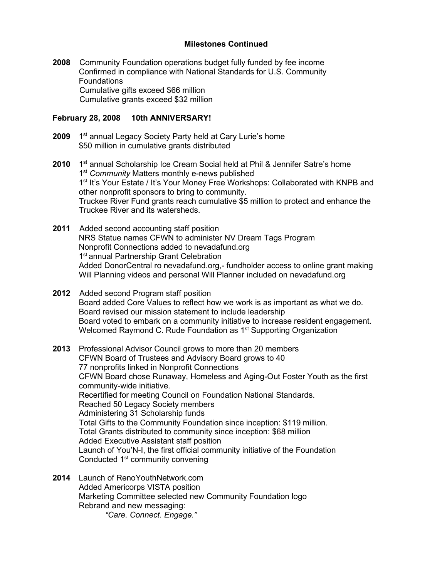## **Milestones Continued**

**2008** Community Foundation operations budget fully funded by fee income Confirmed in compliance with National Standards for U.S. Community **Foundations**  Cumulative gifts exceed \$66 million Cumulative grants exceed \$32 million

### **February 28, 2008 10th ANNIVERSARY!**

- **2009** 1<sup>st</sup> annual Legacy Society Party held at Cary Lurie's home \$50 million in cumulative grants distributed
- **2010** 1<sup>st</sup> annual Scholarship Ice Cream Social held at Phil & Jennifer Satre's home 1st *Community* Matters monthly e-news published 1<sup>st</sup> It's Your Estate / It's Your Money Free Workshops: Collaborated with KNPB and other nonprofit sponsors to bring to community. Truckee River Fund grants reach cumulative \$5 million to protect and enhance the Truckee River and its watersheds.
- **2011** Added second accounting staff position NRS Statue names CFWN to administer NV Dream Tags Program Nonprofit Connections added to nevadafund.org 1<sup>st</sup> annual Partnership Grant Celebration Added DonorCentral ro nevadafund.org,- fundholder access to online grant making Will Planning videos and personal Will Planner included on nevadafund.org
- **2012** Added second Program staff position Board added Core Values to reflect how we work is as important as what we do. Board revised our mission statement to include leadership Board voted to embark on a community initiative to increase resident engagement. Welcomed Raymond C. Rude Foundation as 1<sup>st</sup> Supporting Organization
- **2013** Professional Advisor Council grows to more than 20 members CFWN Board of Trustees and Advisory Board grows to 40 77 nonprofits linked in Nonprofit Connections CFWN Board chose Runaway, Homeless and Aging-Out Foster Youth as the first community-wide initiative. Recertified for meeting Council on Foundation National Standards. Reached 50 Legacy Society members Administering 31 Scholarship funds Total Gifts to the Community Foundation since inception: \$119 million. Total Grants distributed to community since inception: \$68 million Added Executive Assistant staff position Launch of You'N-I, the first official community initiative of the Foundation Conducted 1<sup>st</sup> community convening
- **2014** Launch of RenoYouthNetwork.com Added Americorps VISTA position Marketing Committee selected new Community Foundation logo Rebrand and new messaging: *"Care. Connect. Engage."*